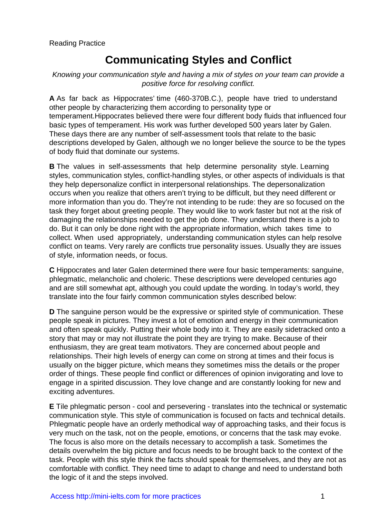Reading Practice

# **Communicating Styles and Conflict**

Knowing your communication style and having a mix of styles on your team can provide a positive force for resolving conflict.

**A** As far back as Hippocrates' time (460-370B.C.), people have tried to understand other people by characterizing them according to personality type or temperament.Hippocrates believed there were four different body fluids that influenced four basic types of temperament. His work was further developed 500 years later by Galen. These days there are any number of self-assessment tools that relate to the basic descriptions developed by Galen, although we no longer believe the source to be the types of body fluid that dominate our systems.

**B** The values in self-assessments that help determine personality style. Learning styles, communication styles, conflict-handling styles, or other aspects of individuals is that they help depersonalize conflict in interpersonal relationships. The depersonalization occurs when you realize that others aren't trying to be difficult, but they need different or more information than you do. They're not intending to be rude: they are so focused on the task they forget about greeting people. They would like to work faster but not at the risk of damaging the relationships needed to get the job done. They understand there is a job to do. But it can only be done right with the appropriate information, which takes time to collect. When used appropriately, understanding communication styles can help resolve conflict on teams. Very rarely are conflicts true personality issues. Usually they are issues of style, information needs, or focus.

**C** Hippocrates and later Galen determined there were four basic temperaments: sanguine, phlegmatic, melancholic and choleric. These descriptions were developed centuries ago and are still somewhat apt, although you could update the wording. In today's world, they translate into the four fairly common communication styles described below:

**D** The sanguine person would be the expressive or spirited style of communication. These people speak in pictures. They invest a lot of emotion and energy in their communication and often speak quickly. Putting their whole body into it. They are easily sidetracked onto a story that may or may not illustrate the point they are trying to make. Because of their enthusiasm, they are great team motivators. They are concerned about people and relationships. Their high levels of energy can come on strong at times and their focus is usually on the bigger picture, which means they sometimes miss the details or the proper order of things. These people find conflict or differences of opinion invigorating and love to engage in a spirited discussion. They love change and are constantly looking for new and exciting adventures.

**E** Tile phlegmatic person - cool and persevering - translates into the technical or systematic communication style. This style of communication is focused on facts and technical details. Phlegmatic people have an orderly methodical way of approaching tasks, and their focus is very much on the task, not on the people, emotions, or concerns that the task may evoke. The focus is also more on the details necessary to accomplish a task. Sometimes the details overwhelm the big picture and focus needs to be brought back to the context of the task. People with this style think the facts should speak for themselves, and they are not as comfortable with conflict. They need time to adapt to change and need to understand both the logic of it and the steps involved.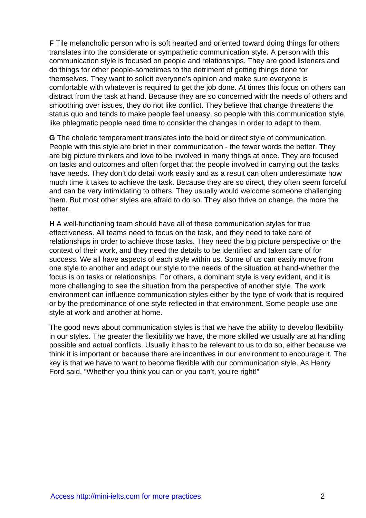**F** Tile melancholic person who is soft hearted and oriented toward doing things for others translates into the considerate or sympathetic communication style. A person with this communication style is focused on people and relationships. They are good listeners and do things for other people-sometimes to the detriment of getting things done for themselves. They want to solicit everyone's opinion and make sure everyone is comfortable with whatever is required to get the job done. At times this focus on others can distract from the task at hand. Because they are so concerned with the needs of others and smoothing over issues, they do not like conflict. They believe that change threatens the status quo and tends to make people feel uneasy, so people with this communication style, like phlegmatic people need time to consider the changes in order to adapt to them.

**G** The choleric temperament translates into the bold or direct style of communication. People with this style are brief in their communication - the fewer words the better. They are big picture thinkers and love to be involved in many things at once. They are focused on tasks and outcomes and often forget that the people involved in carrying out the tasks have needs. They don't do detail work easily and as a result can often underestimate how much time it takes to achieve the task. Because they are so direct, they often seem forceful and can be very intimidating to others. They usually would welcome someone challenging them. But most other styles are afraid to do so. They also thrive on change, the more the better.

**H** A well-functioning team should have all of these communication styles for true effectiveness. All teams need to focus on the task, and they need to take care of relationships in order to achieve those tasks. They need the big picture perspective or the context of their work, and they need the details to be identified and taken care of for success. We all have aspects of each style within us. Some of us can easily move from one style to another and adapt our style to the needs of the situation at hand-whether the focus is on tasks or relationships. For others, a dominant style is very evident, and it is more challenging to see the situation from the perspective of another style. The work environment can influence communication styles either by the type of work that is required or by the predominance of one style reflected in that environment. Some people use one style at work and another at home.

The good news about communication styles is that we have the ability to develop flexibility in our styles. The greater the flexibility we have, the more skilled we usually are at handling possible and actual conflicts. Usually it has to be relevant to us to do so, either because we think it is important or because there are incentives in our environment to encourage it. The key is that we have to want to become flexible with our communication style. As Henry Ford said, "Whether you think you can or you can't, you're right!"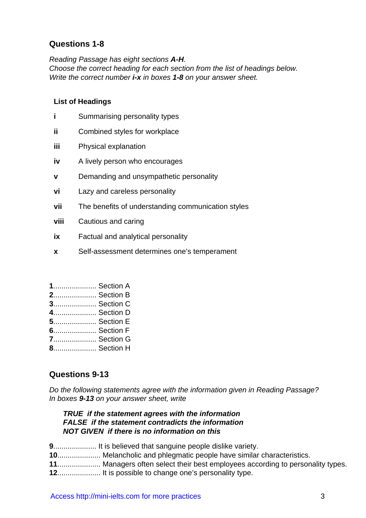#### **Questions 1-8**

Reading Passage has eight sections **A-H**. Choose the correct heading for each section from the list of headings below. Write the correct number **i-x** in boxes **1-8** on your answer sheet.

#### **List of Headings**

- **i** Summarising personality types
- **ii** Combined styles for workplace
- **iii** Physical explanation
- **iv** A lively person who encourages
- **v** Demanding and unsympathetic personality
- **vi** Lazy and careless personality
- **vii** The benefits of understanding communication styles
- **viii** Cautious and caring
- **ix** Factual and analytical personality
- **x** Self-assessment determines one's temperament

| 1 Section A        |  |
|--------------------|--|
| 2 Section B        |  |
| <b>3 Section C</b> |  |
| 4 Section D        |  |
| 5 Section E        |  |
| 6 Section F        |  |
| <b>7 Section G</b> |  |
| 8 Section H        |  |
|                    |  |

### **Questions 9-13**

Do the following statements agree with the information given in Reading Passage? In boxes **9-13** on your answer sheet, write

**TRUE if the statement agrees with the information FALSE if the statement contradicts the information NOT GIVEN if there is no information on this**

..................... It is believed that sanguine people dislike variety. ..................... Melancholic and phlegmatic people have similar characteristics. ..................... Managers often select their best employees according to personality types. ..................... It is possible to change one's personality type.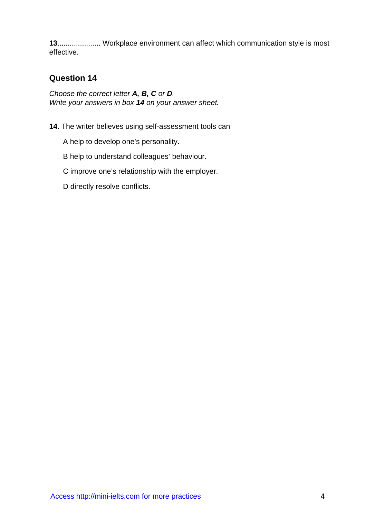**13**..................... Workplace environment can affect which communication style is most effective.

#### **Question 14**

Choose the correct letter **A, B, C** or **D**. Write your answers in box **14** on your answer sheet.

- **14**. The writer believes using self-assessment tools can
	- A help to develop one's personality.
	- B help to understand colleagues' behaviour.
	- C improve one's relationship with the employer.
	- D directly resolve conflicts.